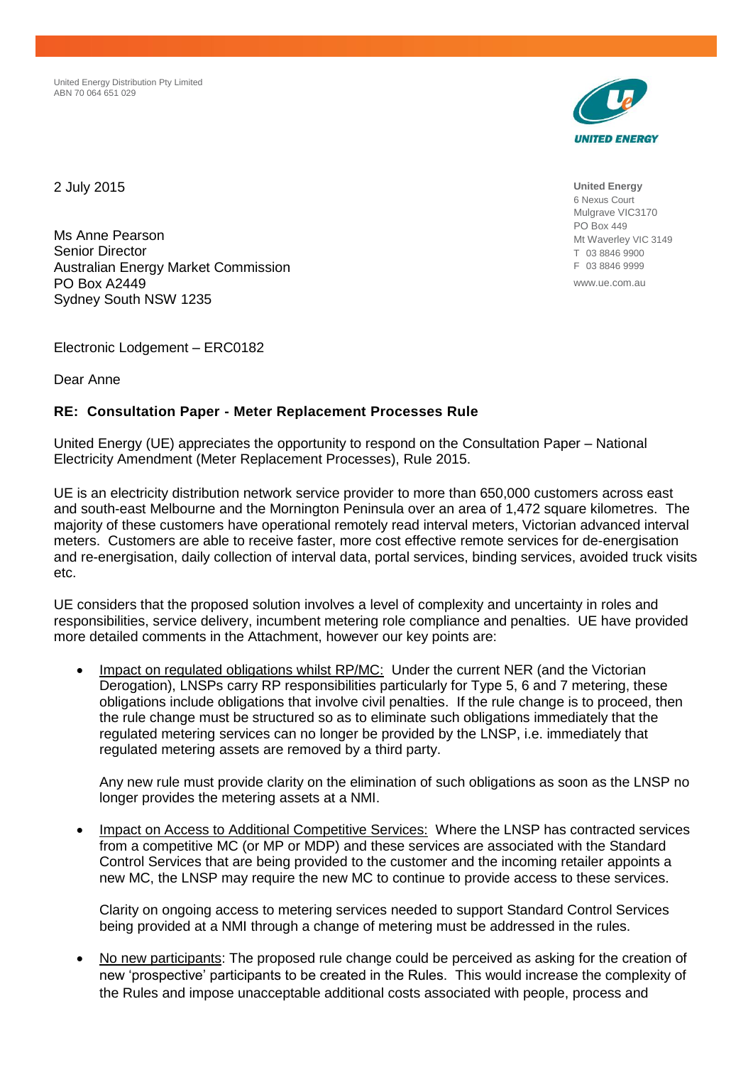United Energy Distribution Pty Limited ABN 70 064 651 029



2 July 2015

Ms Anne Pearson Senior Director Australian Energy Market Commission PO Box A2449 Sydney South NSW 1235

Electronic Lodgement – ERC0182

Dear Anne

## **RE: Consultation Paper - Meter Replacement Processes Rule**

United Energy (UE) appreciates the opportunity to respond on the Consultation Paper – National Electricity Amendment (Meter Replacement Processes), Rule 2015.

UE is an electricity distribution network service provider to more than 650,000 customers across east and south-east Melbourne and the Mornington Peninsula over an area of 1,472 square kilometres. The majority of these customers have operational remotely read interval meters, Victorian advanced interval meters. Customers are able to receive faster, more cost effective remote services for de-energisation and re-energisation, daily collection of interval data, portal services, binding services, avoided truck visits etc.

UE considers that the proposed solution involves a level of complexity and uncertainty in roles and responsibilities, service delivery, incumbent metering role compliance and penalties. UE have provided more detailed comments in the Attachment, however our key points are:

 Impact on regulated obligations whilst RP/MC: Under the current NER (and the Victorian Derogation), LNSPs carry RP responsibilities particularly for Type 5, 6 and 7 metering, these obligations include obligations that involve civil penalties. If the rule change is to proceed, then the rule change must be structured so as to eliminate such obligations immediately that the regulated metering services can no longer be provided by the LNSP, i.e. immediately that regulated metering assets are removed by a third party.

Any new rule must provide clarity on the elimination of such obligations as soon as the LNSP no longer provides the metering assets at a NMI.

 Impact on Access to Additional Competitive Services: Where the LNSP has contracted services from a competitive MC (or MP or MDP) and these services are associated with the Standard Control Services that are being provided to the customer and the incoming retailer appoints a new MC, the LNSP may require the new MC to continue to provide access to these services.

Clarity on ongoing access to metering services needed to support Standard Control Services being provided at a NMI through a change of metering must be addressed in the rules.

 No new participants: The proposed rule change could be perceived as asking for the creation of new 'prospective' participants to be created in the Rules. This would increase the complexity of the Rules and impose unacceptable additional costs associated with people, process and

**United Energy** 6 Nexus Court Mulgrave VIC3170 PO Box 449 Mt Waverley VIC 3149 T 03 8846 9900 F 03 8846 9999 www.ue.com.au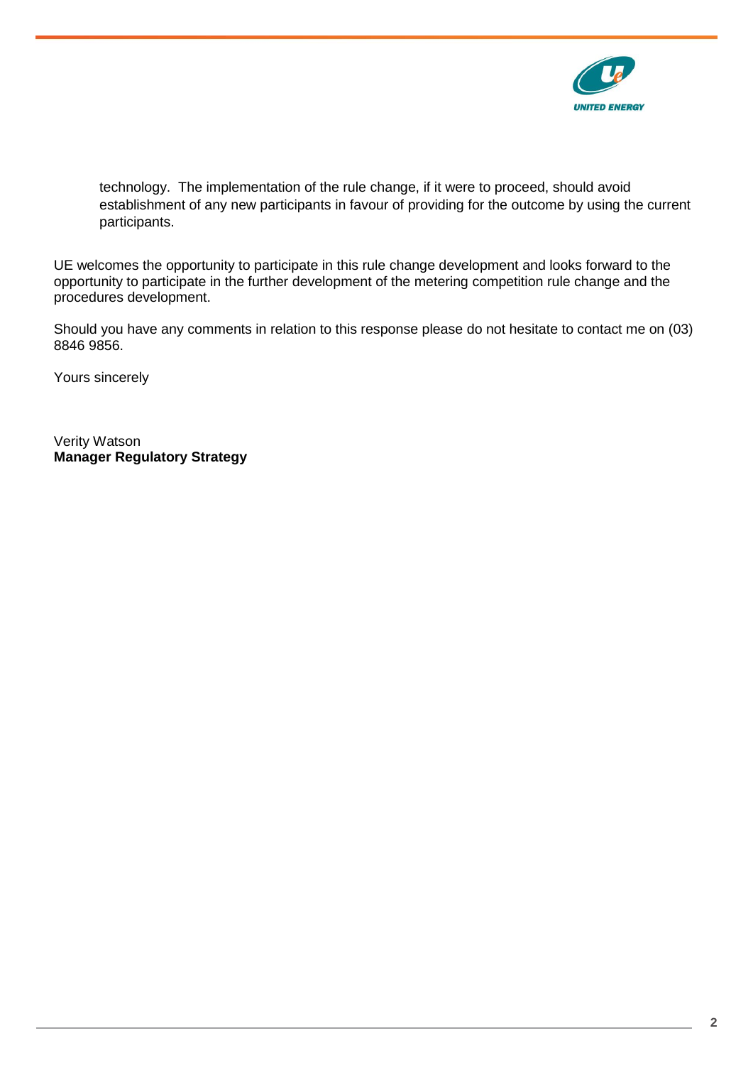

technology. The implementation of the rule change, if it were to proceed, should avoid establishment of any new participants in favour of providing for the outcome by using the current participants.

UE welcomes the opportunity to participate in this rule change development and looks forward to the opportunity to participate in the further development of the metering competition rule change and the procedures development.

Should you have any comments in relation to this response please do not hesitate to contact me on (03) 8846 9856.

Yours sincerely

Verity Watson **Manager Regulatory Strategy**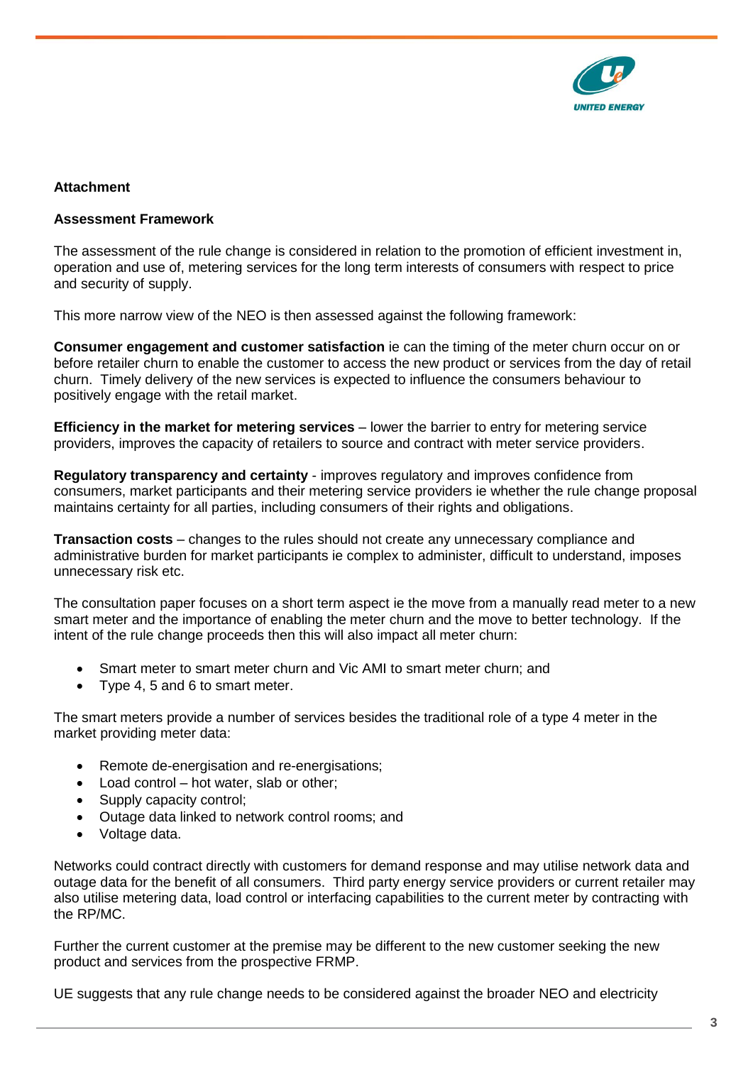

# **Attachment**

#### **Assessment Framework**

The assessment of the rule change is considered in relation to the promotion of efficient investment in, operation and use of, metering services for the long term interests of consumers with respect to price and security of supply.

This more narrow view of the NEO is then assessed against the following framework:

**Consumer engagement and customer satisfaction** ie can the timing of the meter churn occur on or before retailer churn to enable the customer to access the new product or services from the day of retail churn. Timely delivery of the new services is expected to influence the consumers behaviour to positively engage with the retail market.

**Efficiency in the market for metering services** – lower the barrier to entry for metering service providers, improves the capacity of retailers to source and contract with meter service providers.

**Regulatory transparency and certainty** - improves regulatory and improves confidence from consumers, market participants and their metering service providers ie whether the rule change proposal maintains certainty for all parties, including consumers of their rights and obligations.

**Transaction costs** – changes to the rules should not create any unnecessary compliance and administrative burden for market participants ie complex to administer, difficult to understand, imposes unnecessary risk etc.

The consultation paper focuses on a short term aspect ie the move from a manually read meter to a new smart meter and the importance of enabling the meter churn and the move to better technology. If the intent of the rule change proceeds then this will also impact all meter churn:

- Smart meter to smart meter churn and Vic AMI to smart meter churn; and
- Type 4, 5 and 6 to smart meter.

The smart meters provide a number of services besides the traditional role of a type 4 meter in the market providing meter data:

- Remote de-energisation and re-energisations;
- Load control hot water, slab or other;
- Supply capacity control;
- Outage data linked to network control rooms; and
- Voltage data.

Networks could contract directly with customers for demand response and may utilise network data and outage data for the benefit of all consumers. Third party energy service providers or current retailer may also utilise metering data, load control or interfacing capabilities to the current meter by contracting with the RP/MC.

Further the current customer at the premise may be different to the new customer seeking the new product and services from the prospective FRMP.

UE suggests that any rule change needs to be considered against the broader NEO and electricity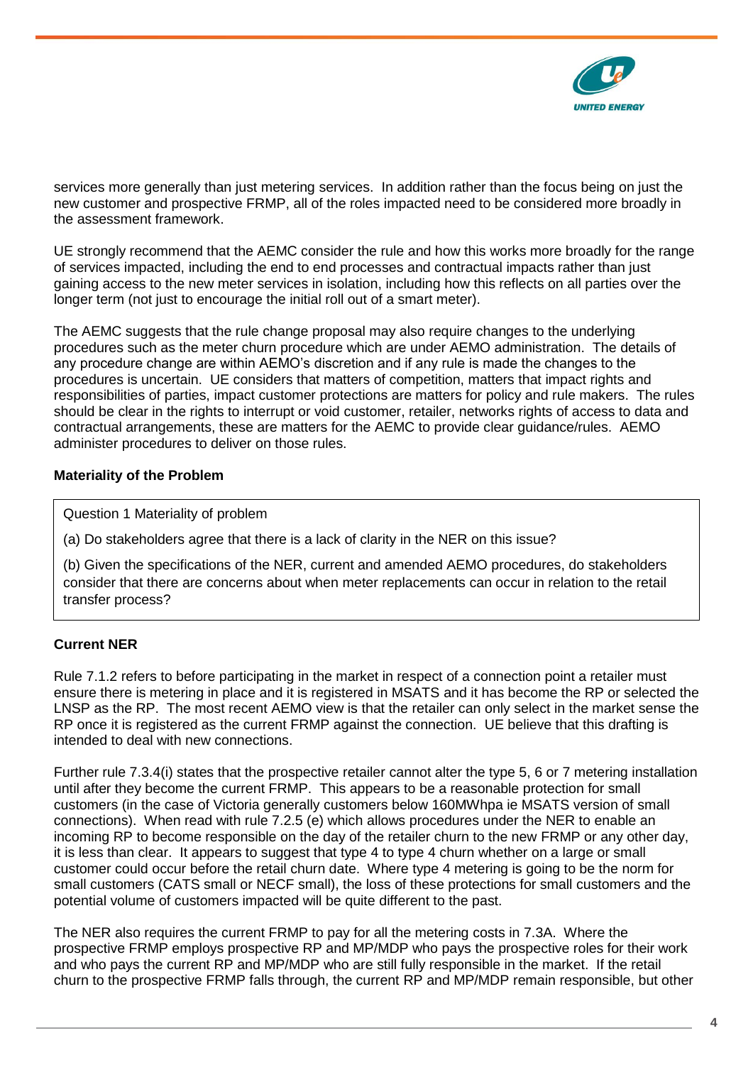

services more generally than just metering services. In addition rather than the focus being on just the new customer and prospective FRMP, all of the roles impacted need to be considered more broadly in the assessment framework.

UE strongly recommend that the AEMC consider the rule and how this works more broadly for the range of services impacted, including the end to end processes and contractual impacts rather than just gaining access to the new meter services in isolation, including how this reflects on all parties over the longer term (not just to encourage the initial roll out of a smart meter).

The AEMC suggests that the rule change proposal may also require changes to the underlying procedures such as the meter churn procedure which are under AEMO administration. The details of any procedure change are within AEMO's discretion and if any rule is made the changes to the procedures is uncertain. UE considers that matters of competition, matters that impact rights and responsibilities of parties, impact customer protections are matters for policy and rule makers. The rules should be clear in the rights to interrupt or void customer, retailer, networks rights of access to data and contractual arrangements, these are matters for the AEMC to provide clear guidance/rules. AEMO administer procedures to deliver on those rules.

# **Materiality of the Problem**

Question 1 Materiality of problem

(a) Do stakeholders agree that there is a lack of clarity in the NER on this issue?

(b) Given the specifications of the NER, current and amended AEMO procedures, do stakeholders consider that there are concerns about when meter replacements can occur in relation to the retail transfer process?

# **Current NER**

Rule 7.1.2 refers to before participating in the market in respect of a connection point a retailer must ensure there is metering in place and it is registered in MSATS and it has become the RP or selected the LNSP as the RP. The most recent AEMO view is that the retailer can only select in the market sense the RP once it is registered as the current FRMP against the connection. UE believe that this drafting is intended to deal with new connections.

Further rule 7.3.4(i) states that the prospective retailer cannot alter the type 5, 6 or 7 metering installation until after they become the current FRMP. This appears to be a reasonable protection for small customers (in the case of Victoria generally customers below 160MWhpa ie MSATS version of small connections). When read with rule 7.2.5 (e) which allows procedures under the NER to enable an incoming RP to become responsible on the day of the retailer churn to the new FRMP or any other day, it is less than clear. It appears to suggest that type 4 to type 4 churn whether on a large or small customer could occur before the retail churn date. Where type 4 metering is going to be the norm for small customers (CATS small or NECF small), the loss of these protections for small customers and the potential volume of customers impacted will be quite different to the past.

The NER also requires the current FRMP to pay for all the metering costs in 7.3A. Where the prospective FRMP employs prospective RP and MP/MDP who pays the prospective roles for their work and who pays the current RP and MP/MDP who are still fully responsible in the market. If the retail churn to the prospective FRMP falls through, the current RP and MP/MDP remain responsible, but other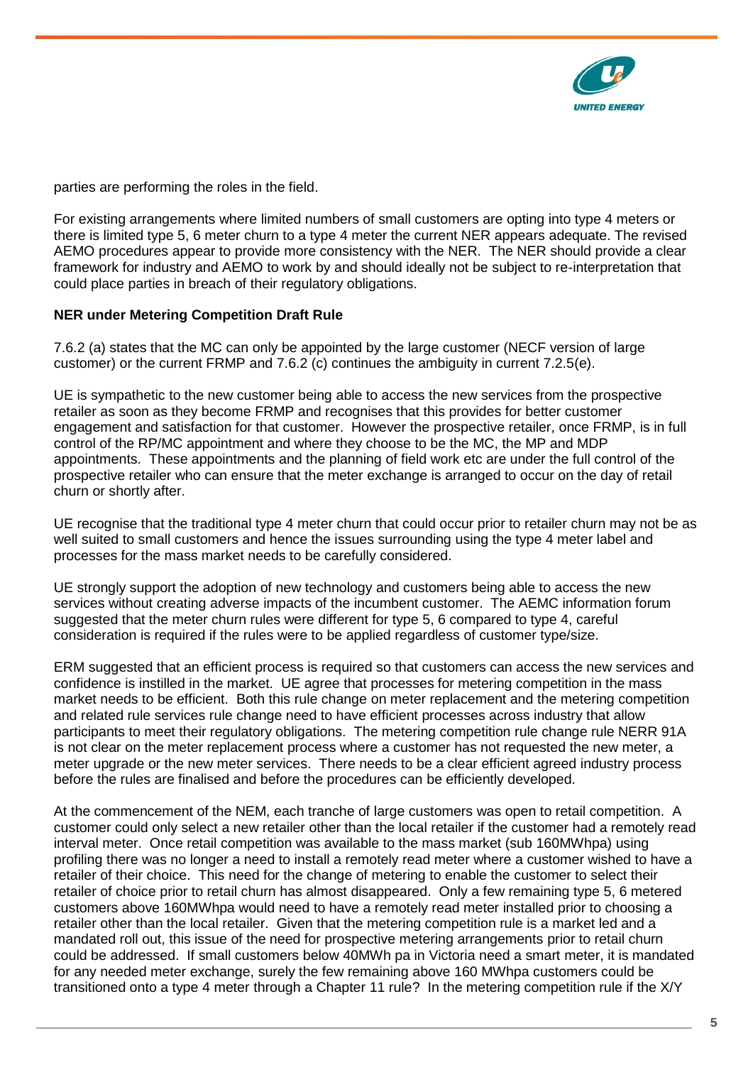

parties are performing the roles in the field.

For existing arrangements where limited numbers of small customers are opting into type 4 meters or there is limited type 5, 6 meter churn to a type 4 meter the current NER appears adequate. The revised AEMO procedures appear to provide more consistency with the NER. The NER should provide a clear framework for industry and AEMO to work by and should ideally not be subject to re-interpretation that could place parties in breach of their regulatory obligations.

## **NER under Metering Competition Draft Rule**

7.6.2 (a) states that the MC can only be appointed by the large customer (NECF version of large customer) or the current FRMP and 7.6.2 (c) continues the ambiguity in current 7.2.5(e).

UE is sympathetic to the new customer being able to access the new services from the prospective retailer as soon as they become FRMP and recognises that this provides for better customer engagement and satisfaction for that customer. However the prospective retailer, once FRMP, is in full control of the RP/MC appointment and where they choose to be the MC, the MP and MDP appointments. These appointments and the planning of field work etc are under the full control of the prospective retailer who can ensure that the meter exchange is arranged to occur on the day of retail churn or shortly after.

UE recognise that the traditional type 4 meter churn that could occur prior to retailer churn may not be as well suited to small customers and hence the issues surrounding using the type 4 meter label and processes for the mass market needs to be carefully considered.

UE strongly support the adoption of new technology and customers being able to access the new services without creating adverse impacts of the incumbent customer. The AEMC information forum suggested that the meter churn rules were different for type 5, 6 compared to type 4, careful consideration is required if the rules were to be applied regardless of customer type/size.

ERM suggested that an efficient process is required so that customers can access the new services and confidence is instilled in the market. UE agree that processes for metering competition in the mass market needs to be efficient. Both this rule change on meter replacement and the metering competition and related rule services rule change need to have efficient processes across industry that allow participants to meet their regulatory obligations. The metering competition rule change rule NERR 91A is not clear on the meter replacement process where a customer has not requested the new meter, a meter upgrade or the new meter services. There needs to be a clear efficient agreed industry process before the rules are finalised and before the procedures can be efficiently developed.

At the commencement of the NEM, each tranche of large customers was open to retail competition. A customer could only select a new retailer other than the local retailer if the customer had a remotely read interval meter. Once retail competition was available to the mass market (sub 160MWhpa) using profiling there was no longer a need to install a remotely read meter where a customer wished to have a retailer of their choice. This need for the change of metering to enable the customer to select their retailer of choice prior to retail churn has almost disappeared. Only a few remaining type 5, 6 metered customers above 160MWhpa would need to have a remotely read meter installed prior to choosing a retailer other than the local retailer. Given that the metering competition rule is a market led and a mandated roll out, this issue of the need for prospective metering arrangements prior to retail churn could be addressed. If small customers below 40MWh pa in Victoria need a smart meter, it is mandated for any needed meter exchange, surely the few remaining above 160 MWhpa customers could be transitioned onto a type 4 meter through a Chapter 11 rule? In the metering competition rule if the X/Y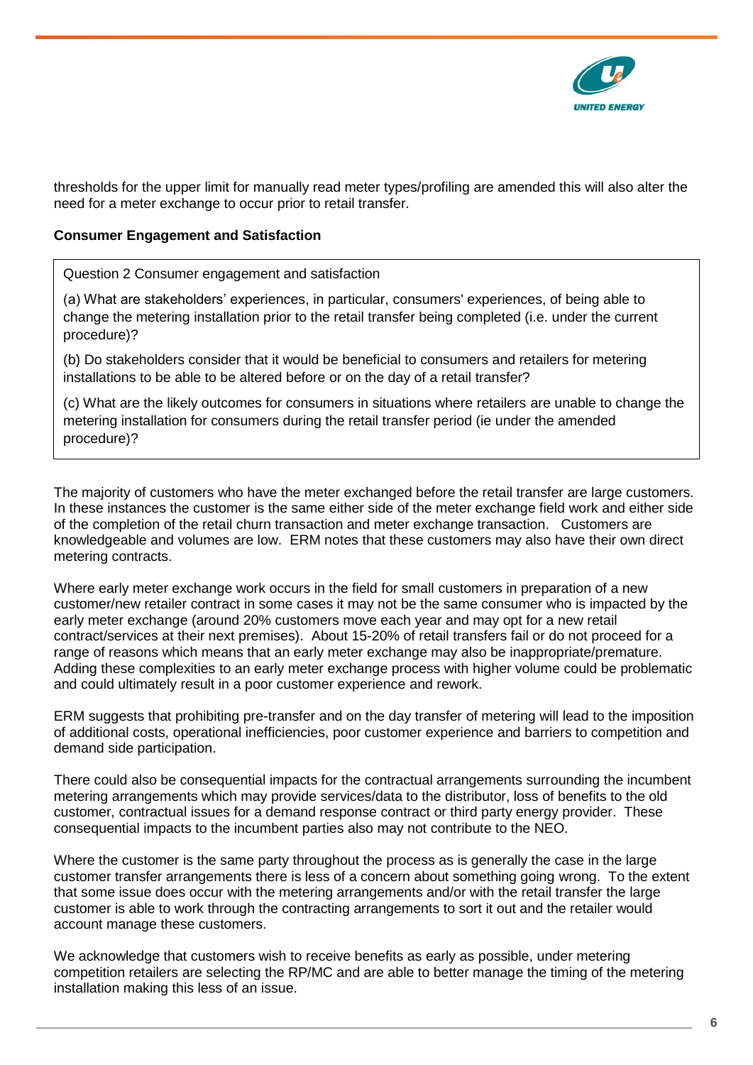

thresholds for the upper limit for manually read meter types/profiling are amended this will also alter the need for a meter exchange to occur prior to retail transfer.

#### **Consumer Engagement and Satisfaction**

Question 2 Consumer engagement and satisfaction

(a) What are stakeholders' experiences, in particular, consumers' experiences, of being able to change the metering installation prior to the retail transfer being completed (i.e. under the current procedure)?

(b) Do stakeholders consider that it would be beneficial to consumers and retailers for metering installations to be able to be altered before or on the day of a retail transfer?

(c) What are the likely outcomes for consumers in situations where retailers are unable to change the metering installation for consumers during the retail transfer period (ie under the amended procedure)?

The majority of customers who have the meter exchanged before the retail transfer are large customers. In these instances the customer is the same either side of the meter exchange field work and either side of the completion of the retail churn transaction and meter exchange transaction. Customers are knowledgeable and volumes are low. ERM notes that these customers may also have their own direct metering contracts.

Where early meter exchange work occurs in the field for small customers in preparation of a new customer/new retailer contract in some cases it may not be the same consumer who is impacted by the early meter exchange (around 20% customers move each year and may opt for a new retail contract/services at their next premises). About 15-20% of retail transfers fail or do not proceed for a range of reasons which means that an early meter exchange may also be inappropriate/premature. Adding these complexities to an early meter exchange process with higher volume could be problematic and could ultimately result in a poor customer experience and rework.

ERM suggests that prohibiting pre-transfer and on the day transfer of metering will lead to the imposition of additional costs, operational inefficiencies, poor customer experience and barriers to competition and demand side participation.

There could also be consequential impacts for the contractual arrangements surrounding the incumbent metering arrangements which may provide services/data to the distributor, loss of benefits to the old customer, contractual issues for a demand response contract or third party energy provider. These consequential impacts to the incumbent parties also may not contribute to the NEO.

Where the customer is the same party throughout the process as is generally the case in the large customer transfer arrangements there is less of a concern about something going wrong. To the extent that some issue does occur with the metering arrangements and/or with the retail transfer the large customer is able to work through the contracting arrangements to sort it out and the retailer would account manage these customers.

We acknowledge that customers wish to receive benefits as early as possible, under metering competition retailers are selecting the RP/MC and are able to better manage the timing of the metering installation making this less of an issue.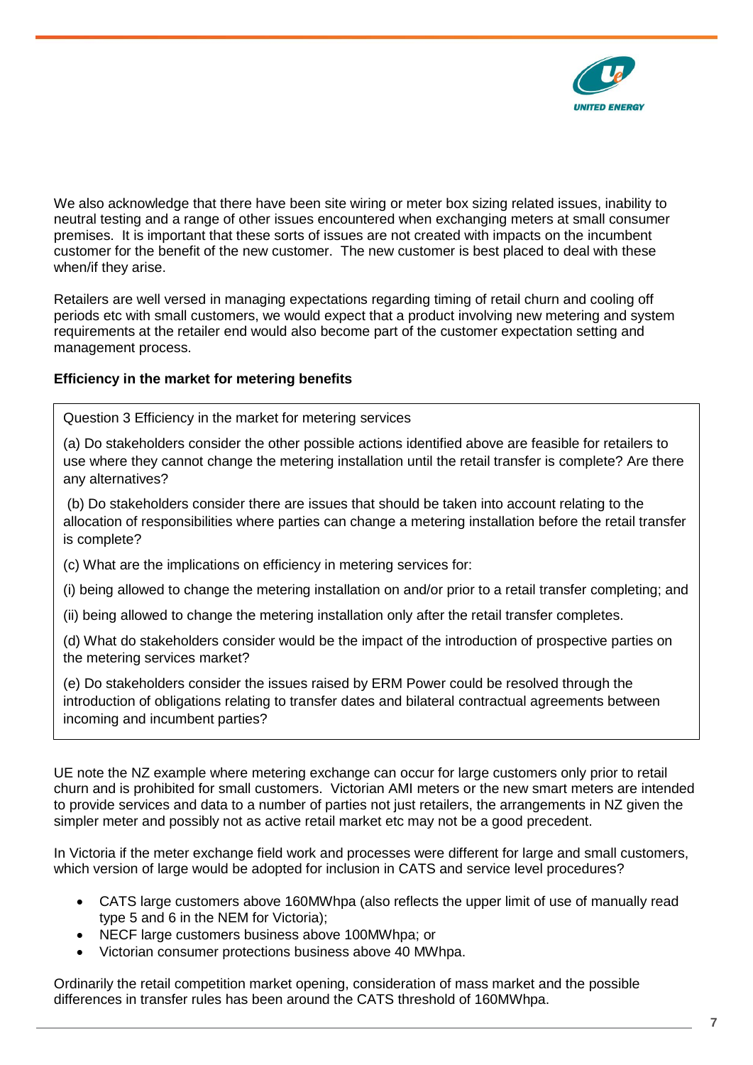

We also acknowledge that there have been site wiring or meter box sizing related issues, inability to neutral testing and a range of other issues encountered when exchanging meters at small consumer premises. It is important that these sorts of issues are not created with impacts on the incumbent customer for the benefit of the new customer. The new customer is best placed to deal with these when/if they arise.

Retailers are well versed in managing expectations regarding timing of retail churn and cooling off periods etc with small customers, we would expect that a product involving new metering and system requirements at the retailer end would also become part of the customer expectation setting and management process.

## **Efficiency in the market for metering benefits**

Question 3 Efficiency in the market for metering services

(a) Do stakeholders consider the other possible actions identified above are feasible for retailers to use where they cannot change the metering installation until the retail transfer is complete? Are there any alternatives?

(b) Do stakeholders consider there are issues that should be taken into account relating to the allocation of responsibilities where parties can change a metering installation before the retail transfer is complete?

(c) What are the implications on efficiency in metering services for:

(i) being allowed to change the metering installation on and/or prior to a retail transfer completing; and

(ii) being allowed to change the metering installation only after the retail transfer completes.

(d) What do stakeholders consider would be the impact of the introduction of prospective parties on the metering services market?

(e) Do stakeholders consider the issues raised by ERM Power could be resolved through the introduction of obligations relating to transfer dates and bilateral contractual agreements between incoming and incumbent parties?

UE note the NZ example where metering exchange can occur for large customers only prior to retail churn and is prohibited for small customers. Victorian AMI meters or the new smart meters are intended to provide services and data to a number of parties not just retailers, the arrangements in NZ given the simpler meter and possibly not as active retail market etc may not be a good precedent.

In Victoria if the meter exchange field work and processes were different for large and small customers, which version of large would be adopted for inclusion in CATS and service level procedures?

- CATS large customers above 160MWhpa (also reflects the upper limit of use of manually read type 5 and 6 in the NEM for Victoria);
- NECF large customers business above 100MWhpa; or
- Victorian consumer protections business above 40 MWhpa.

Ordinarily the retail competition market opening, consideration of mass market and the possible differences in transfer rules has been around the CATS threshold of 160MWhpa.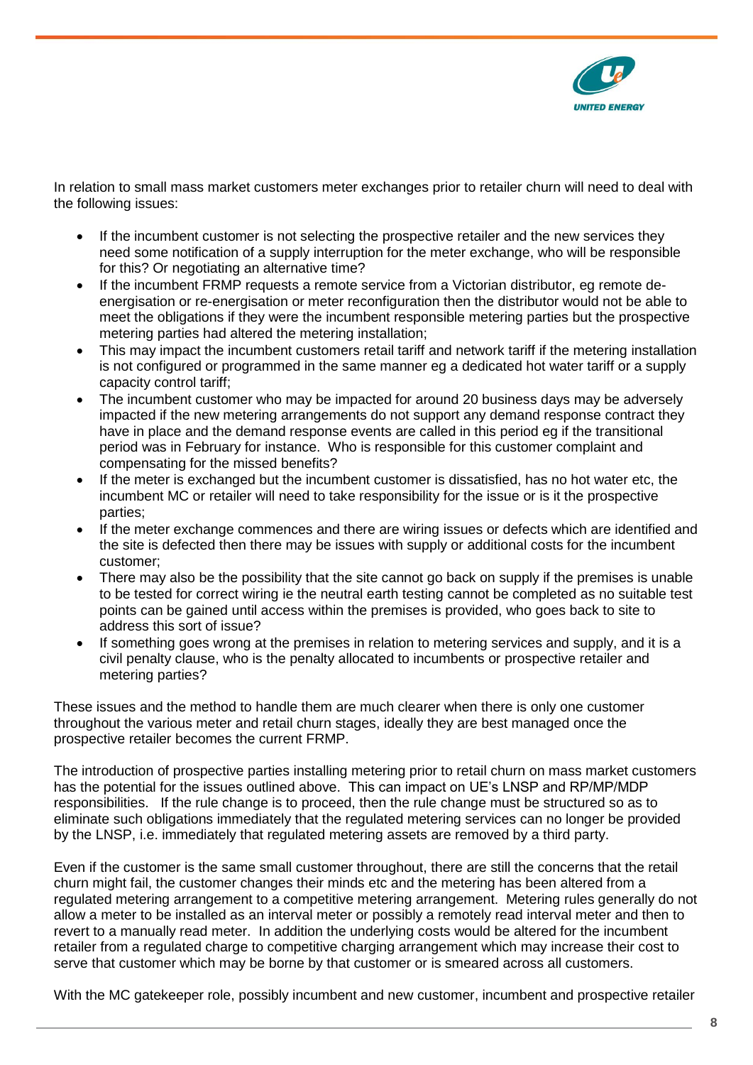

In relation to small mass market customers meter exchanges prior to retailer churn will need to deal with the following issues:

- If the incumbent customer is not selecting the prospective retailer and the new services they need some notification of a supply interruption for the meter exchange, who will be responsible for this? Or negotiating an alternative time?
- If the incumbent FRMP requests a remote service from a Victorian distributor, eg remote deenergisation or re-energisation or meter reconfiguration then the distributor would not be able to meet the obligations if they were the incumbent responsible metering parties but the prospective metering parties had altered the metering installation;
- This may impact the incumbent customers retail tariff and network tariff if the metering installation is not configured or programmed in the same manner eg a dedicated hot water tariff or a supply capacity control tariff;
- The incumbent customer who may be impacted for around 20 business days may be adversely impacted if the new metering arrangements do not support any demand response contract they have in place and the demand response events are called in this period eg if the transitional period was in February for instance. Who is responsible for this customer complaint and compensating for the missed benefits?
- If the meter is exchanged but the incumbent customer is dissatisfied, has no hot water etc, the incumbent MC or retailer will need to take responsibility for the issue or is it the prospective parties;
- If the meter exchange commences and there are wiring issues or defects which are identified and the site is defected then there may be issues with supply or additional costs for the incumbent customer;
- There may also be the possibility that the site cannot go back on supply if the premises is unable to be tested for correct wiring ie the neutral earth testing cannot be completed as no suitable test points can be gained until access within the premises is provided, who goes back to site to address this sort of issue?
- If something goes wrong at the premises in relation to metering services and supply, and it is a civil penalty clause, who is the penalty allocated to incumbents or prospective retailer and metering parties?

These issues and the method to handle them are much clearer when there is only one customer throughout the various meter and retail churn stages, ideally they are best managed once the prospective retailer becomes the current FRMP.

The introduction of prospective parties installing metering prior to retail churn on mass market customers has the potential for the issues outlined above. This can impact on UE's LNSP and RP/MP/MDP responsibilities. If the rule change is to proceed, then the rule change must be structured so as to eliminate such obligations immediately that the regulated metering services can no longer be provided by the LNSP, i.e. immediately that regulated metering assets are removed by a third party.

Even if the customer is the same small customer throughout, there are still the concerns that the retail churn might fail, the customer changes their minds etc and the metering has been altered from a regulated metering arrangement to a competitive metering arrangement. Metering rules generally do not allow a meter to be installed as an interval meter or possibly a remotely read interval meter and then to revert to a manually read meter. In addition the underlying costs would be altered for the incumbent retailer from a regulated charge to competitive charging arrangement which may increase their cost to serve that customer which may be borne by that customer or is smeared across all customers.

With the MC gatekeeper role, possibly incumbent and new customer, incumbent and prospective retailer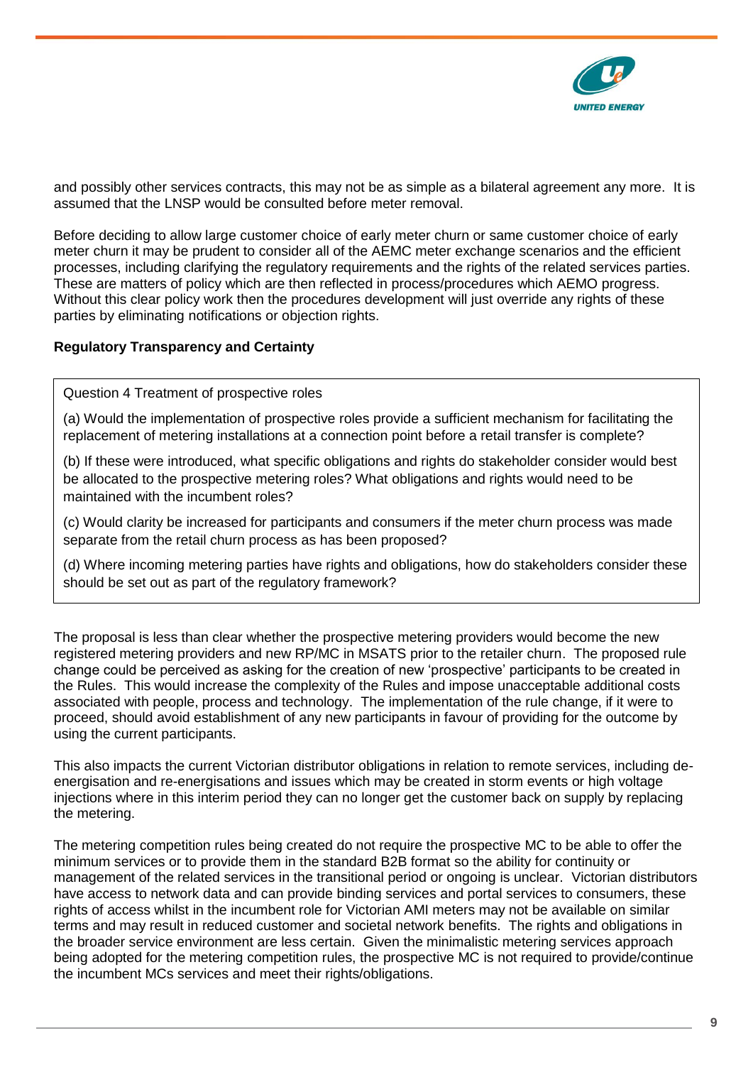

and possibly other services contracts, this may not be as simple as a bilateral agreement any more. It is assumed that the LNSP would be consulted before meter removal.

Before deciding to allow large customer choice of early meter churn or same customer choice of early meter churn it may be prudent to consider all of the AEMC meter exchange scenarios and the efficient processes, including clarifying the regulatory requirements and the rights of the related services parties. These are matters of policy which are then reflected in process/procedures which AEMO progress. Without this clear policy work then the procedures development will just override any rights of these parties by eliminating notifications or objection rights.

# **Regulatory Transparency and Certainty**

Question 4 Treatment of prospective roles

(a) Would the implementation of prospective roles provide a sufficient mechanism for facilitating the replacement of metering installations at a connection point before a retail transfer is complete?

(b) If these were introduced, what specific obligations and rights do stakeholder consider would best be allocated to the prospective metering roles? What obligations and rights would need to be maintained with the incumbent roles?

(c) Would clarity be increased for participants and consumers if the meter churn process was made separate from the retail churn process as has been proposed?

(d) Where incoming metering parties have rights and obligations, how do stakeholders consider these should be set out as part of the regulatory framework?

The proposal is less than clear whether the prospective metering providers would become the new registered metering providers and new RP/MC in MSATS prior to the retailer churn. The proposed rule change could be perceived as asking for the creation of new 'prospective' participants to be created in the Rules. This would increase the complexity of the Rules and impose unacceptable additional costs associated with people, process and technology. The implementation of the rule change, if it were to proceed, should avoid establishment of any new participants in favour of providing for the outcome by using the current participants.

This also impacts the current Victorian distributor obligations in relation to remote services, including deenergisation and re-energisations and issues which may be created in storm events or high voltage injections where in this interim period they can no longer get the customer back on supply by replacing the metering.

The metering competition rules being created do not require the prospective MC to be able to offer the minimum services or to provide them in the standard B2B format so the ability for continuity or management of the related services in the transitional period or ongoing is unclear. Victorian distributors have access to network data and can provide binding services and portal services to consumers, these rights of access whilst in the incumbent role for Victorian AMI meters may not be available on similar terms and may result in reduced customer and societal network benefits. The rights and obligations in the broader service environment are less certain. Given the minimalistic metering services approach being adopted for the metering competition rules, the prospective MC is not required to provide/continue the incumbent MCs services and meet their rights/obligations.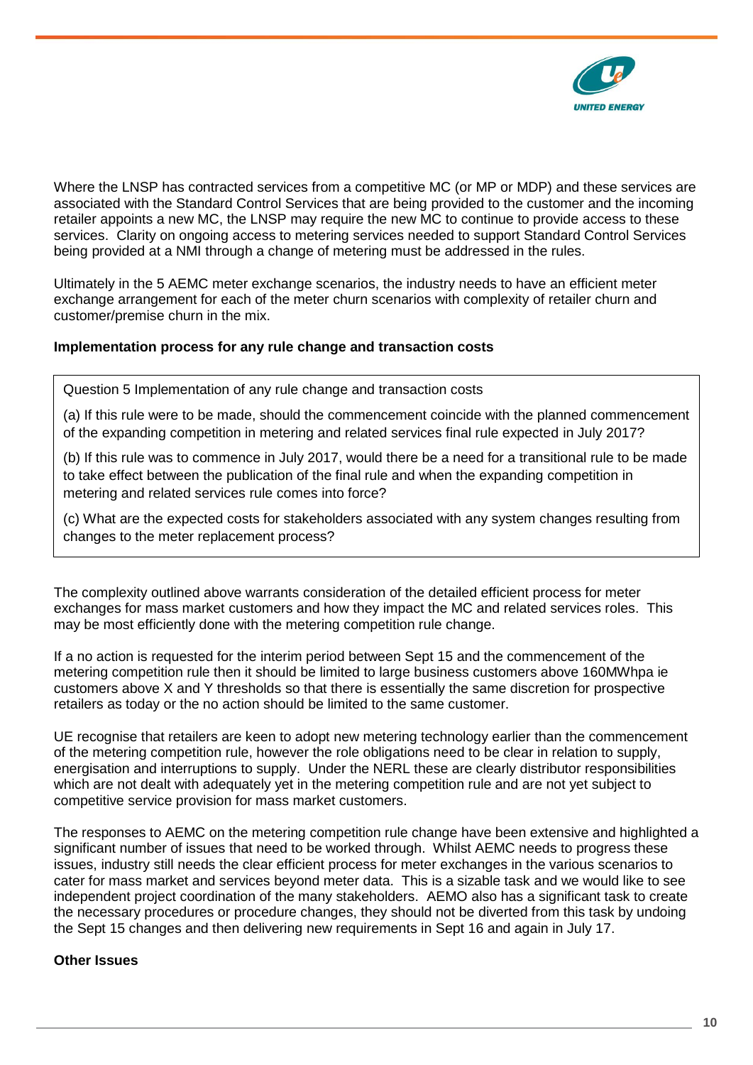

Where the LNSP has contracted services from a competitive MC (or MP or MDP) and these services are associated with the Standard Control Services that are being provided to the customer and the incoming retailer appoints a new MC, the LNSP may require the new MC to continue to provide access to these services. Clarity on ongoing access to metering services needed to support Standard Control Services being provided at a NMI through a change of metering must be addressed in the rules.

Ultimately in the 5 AEMC meter exchange scenarios, the industry needs to have an efficient meter exchange arrangement for each of the meter churn scenarios with complexity of retailer churn and customer/premise churn in the mix.

## **Implementation process for any rule change and transaction costs**

Question 5 Implementation of any rule change and transaction costs

(a) If this rule were to be made, should the commencement coincide with the planned commencement of the expanding competition in metering and related services final rule expected in July 2017?

(b) If this rule was to commence in July 2017, would there be a need for a transitional rule to be made to take effect between the publication of the final rule and when the expanding competition in metering and related services rule comes into force?

(c) What are the expected costs for stakeholders associated with any system changes resulting from changes to the meter replacement process?

The complexity outlined above warrants consideration of the detailed efficient process for meter exchanges for mass market customers and how they impact the MC and related services roles. This may be most efficiently done with the metering competition rule change.

If a no action is requested for the interim period between Sept 15 and the commencement of the metering competition rule then it should be limited to large business customers above 160MWhpa ie customers above X and Y thresholds so that there is essentially the same discretion for prospective retailers as today or the no action should be limited to the same customer.

UE recognise that retailers are keen to adopt new metering technology earlier than the commencement of the metering competition rule, however the role obligations need to be clear in relation to supply, energisation and interruptions to supply. Under the NERL these are clearly distributor responsibilities which are not dealt with adequately yet in the metering competition rule and are not yet subject to competitive service provision for mass market customers.

The responses to AEMC on the metering competition rule change have been extensive and highlighted a significant number of issues that need to be worked through. Whilst AEMC needs to progress these issues, industry still needs the clear efficient process for meter exchanges in the various scenarios to cater for mass market and services beyond meter data. This is a sizable task and we would like to see independent project coordination of the many stakeholders. AEMO also has a significant task to create the necessary procedures or procedure changes, they should not be diverted from this task by undoing the Sept 15 changes and then delivering new requirements in Sept 16 and again in July 17.

## **Other Issues**